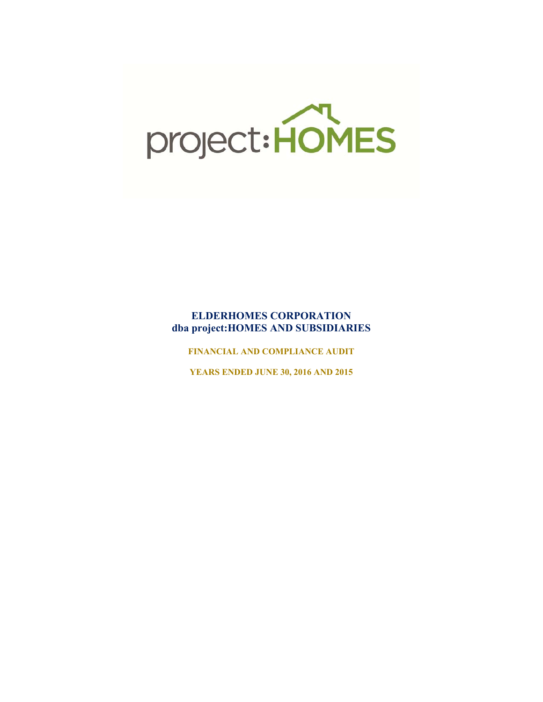# project: HOMES

# **ELDERHOMES CORPORATION dba project:HOMES AND SUBSIDIARIES**

**FINANCIAL AND COMPLIANCE AUDIT** 

**YEARS ENDED JUNE 30, 2016 AND 2015**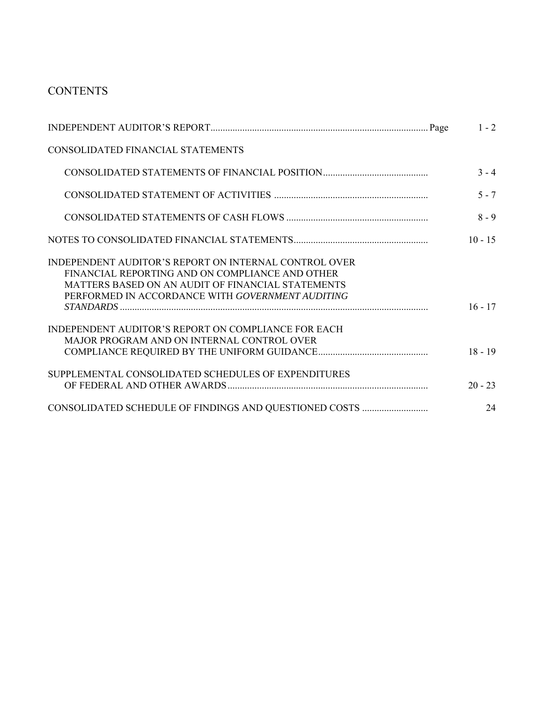# **CONTENTS**

|                                                                                                                                                                                                                          | $1 - 2$   |
|--------------------------------------------------------------------------------------------------------------------------------------------------------------------------------------------------------------------------|-----------|
| CONSOLIDATED FINANCIAL STATEMENTS                                                                                                                                                                                        |           |
|                                                                                                                                                                                                                          | $3 - 4$   |
|                                                                                                                                                                                                                          | $5 - 7$   |
|                                                                                                                                                                                                                          | $8 - 9$   |
|                                                                                                                                                                                                                          | $10 - 15$ |
| <b>INDEPENDENT AUDITOR'S REPORT ON INTERNAL CONTROL OVER</b><br>FINANCIAL REPORTING AND ON COMPLIANCE AND OTHER<br>MATTERS BASED ON AN AUDIT OF FINANCIAL STATEMENTS<br>PERFORMED IN ACCORDANCE WITH GOVERNMENT AUDITING | $16 - 17$ |
| INDEPENDENT AUDITOR'S REPORT ON COMPLIANCE FOR EACH<br>MAJOR PROGRAM AND ON INTERNAL CONTROL OVER                                                                                                                        | $18 - 19$ |
| SUPPLEMENTAL CONSOLIDATED SCHEDULES OF EXPENDITURES                                                                                                                                                                      | $20 - 23$ |
|                                                                                                                                                                                                                          | 24        |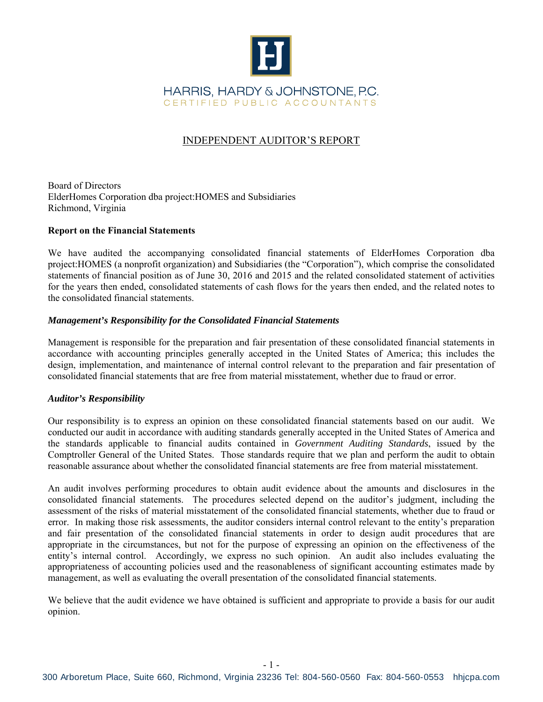

# INDEPENDENT AUDITOR'S REPORT

Board of Directors ElderHomes Corporation dba project:HOMES and Subsidiaries Richmond, Virginia

### **Report on the Financial Statements**

We have audited the accompanying consolidated financial statements of ElderHomes Corporation dba project:HOMES (a nonprofit organization) and Subsidiaries (the "Corporation"), which comprise the consolidated statements of financial position as of June 30, 2016 and 2015 and the related consolidated statement of activities for the years then ended, consolidated statements of cash flows for the years then ended, and the related notes to the consolidated financial statements.

### *Management's Responsibility for the Consolidated Financial Statements*

Management is responsible for the preparation and fair presentation of these consolidated financial statements in accordance with accounting principles generally accepted in the United States of America; this includes the design, implementation, and maintenance of internal control relevant to the preparation and fair presentation of consolidated financial statements that are free from material misstatement, whether due to fraud or error.

### *Auditor's Responsibility*

Our responsibility is to express an opinion on these consolidated financial statements based on our audit. We conducted our audit in accordance with auditing standards generally accepted in the United States of America and the standards applicable to financial audits contained in *Government Auditing Standards*, issued by the Comptroller General of the United States. Those standards require that we plan and perform the audit to obtain reasonable assurance about whether the consolidated financial statements are free from material misstatement.

An audit involves performing procedures to obtain audit evidence about the amounts and disclosures in the consolidated financial statements. The procedures selected depend on the auditor's judgment, including the assessment of the risks of material misstatement of the consolidated financial statements, whether due to fraud or error. In making those risk assessments, the auditor considers internal control relevant to the entity's preparation and fair presentation of the consolidated financial statements in order to design audit procedures that are appropriate in the circumstances, but not for the purpose of expressing an opinion on the effectiveness of the entity's internal control. Accordingly, we express no such opinion. An audit also includes evaluating the appropriateness of accounting policies used and the reasonableness of significant accounting estimates made by management, as well as evaluating the overall presentation of the consolidated financial statements.

We believe that the audit evidence we have obtained is sufficient and appropriate to provide a basis for our audit opinion.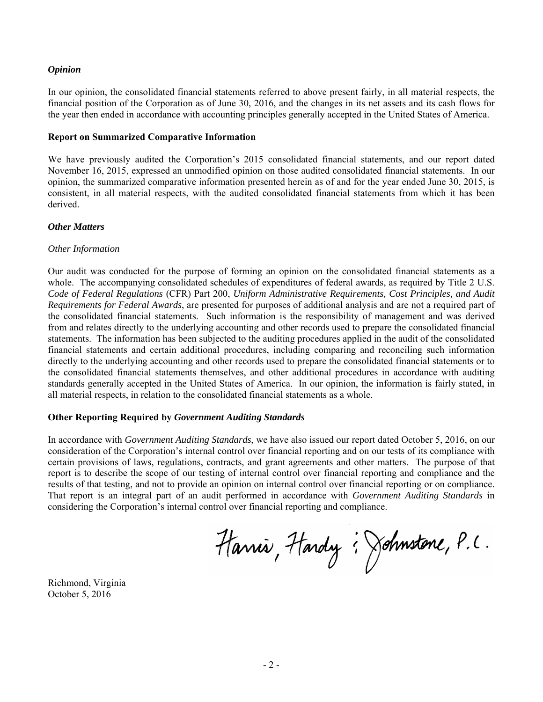### *Opinion*

In our opinion, the consolidated financial statements referred to above present fairly, in all material respects, the financial position of the Corporation as of June 30, 2016, and the changes in its net assets and its cash flows for the year then ended in accordance with accounting principles generally accepted in the United States of America.

### **Report on Summarized Comparative Information**

We have previously audited the Corporation's 2015 consolidated financial statements, and our report dated November 16, 2015, expressed an unmodified opinion on those audited consolidated financial statements. In our opinion, the summarized comparative information presented herein as of and for the year ended June 30, 2015, is consistent, in all material respects, with the audited consolidated financial statements from which it has been derived.

### *Other Matters*

### *Other Information*

Our audit was conducted for the purpose of forming an opinion on the consolidated financial statements as a whole. The accompanying consolidated schedules of expenditures of federal awards, as required by Title 2 U.S. *Code of Federal Regulations* (CFR) Part 200, *Uniform Administrative Requirements, Cost Principles, and Audit Requirements for Federal Awards*, are presented for purposes of additional analysis and are not a required part of the consolidated financial statements. Such information is the responsibility of management and was derived from and relates directly to the underlying accounting and other records used to prepare the consolidated financial statements. The information has been subjected to the auditing procedures applied in the audit of the consolidated financial statements and certain additional procedures, including comparing and reconciling such information directly to the underlying accounting and other records used to prepare the consolidated financial statements or to the consolidated financial statements themselves, and other additional procedures in accordance with auditing standards generally accepted in the United States of America. In our opinion, the information is fairly stated, in all material respects, in relation to the consolidated financial statements as a whole.

### **Other Reporting Required by** *Government Auditing Standards*

In accordance with *Government Auditing Standards*, we have also issued our report dated October 5, 2016, on our consideration of the Corporation's internal control over financial reporting and on our tests of its compliance with certain provisions of laws, regulations, contracts, and grant agreements and other matters. The purpose of that report is to describe the scope of our testing of internal control over financial reporting and compliance and the results of that testing, and not to provide an opinion on internal control over financial reporting or on compliance. That report is an integral part of an audit performed in accordance with *Government Auditing Standards* in considering the Corporation's internal control over financial reporting and compliance.

Harris, Hardy; Johnstone, P.C.

Richmond, Virginia October 5, 2016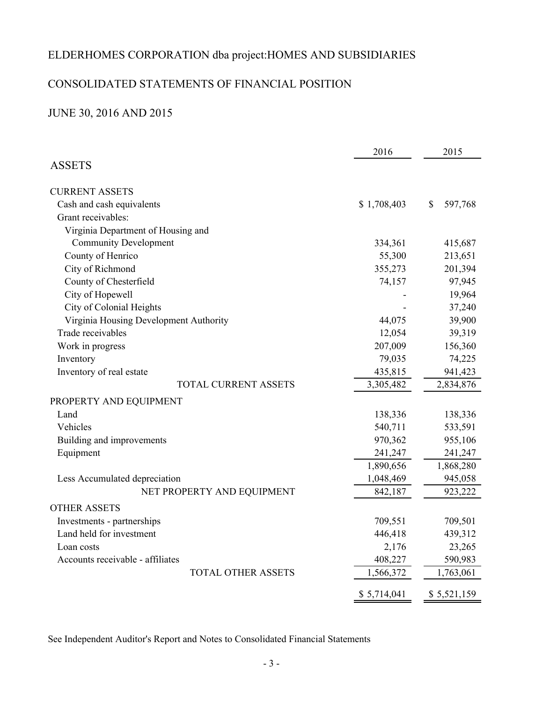# CONSOLIDATED STATEMENTS OF FINANCIAL POSITION

# JUNE 30, 2016 AND 2015

|                                        | 2016        | 2015          |
|----------------------------------------|-------------|---------------|
| <b>ASSETS</b>                          |             |               |
| <b>CURRENT ASSETS</b>                  |             |               |
| Cash and cash equivalents              | \$1,708,403 | \$<br>597,768 |
| Grant receivables:                     |             |               |
| Virginia Department of Housing and     |             |               |
| <b>Community Development</b>           | 334,361     | 415,687       |
| County of Henrico                      | 55,300      | 213,651       |
| City of Richmond                       | 355,273     | 201,394       |
| County of Chesterfield                 | 74,157      | 97,945        |
| City of Hopewell                       |             | 19,964        |
| City of Colonial Heights               |             | 37,240        |
| Virginia Housing Development Authority | 44,075      | 39,900        |
| Trade receivables                      | 12,054      | 39,319        |
| Work in progress                       | 207,009     | 156,360       |
| Inventory                              | 79,035      | 74,225        |
| Inventory of real estate               | 435,815     | 941,423       |
| TOTAL CURRENT ASSETS                   | 3,305,482   | 2,834,876     |
| PROPERTY AND EQUIPMENT                 |             |               |
| Land                                   | 138,336     | 138,336       |
| Vehicles                               | 540,711     | 533,591       |
| Building and improvements              | 970,362     | 955,106       |
| Equipment                              | 241,247     | 241,247       |
|                                        | 1,890,656   | 1,868,280     |
| Less Accumulated depreciation          | 1,048,469   | 945,058       |
| NET PROPERTY AND EQUIPMENT             | 842,187     | 923,222       |
| <b>OTHER ASSETS</b>                    |             |               |
| Investments - partnerships             | 709,551     | 709,501       |
| Land held for investment               | 446,418     | 439,312       |
| Loan costs                             | 2,176       | 23,265        |
| Accounts receivable - affiliates       | 408,227     | 590,983       |
| <b>TOTAL OTHER ASSETS</b>              | 1,566,372   | 1,763,061     |
|                                        | \$5,714,041 | \$5,521,159   |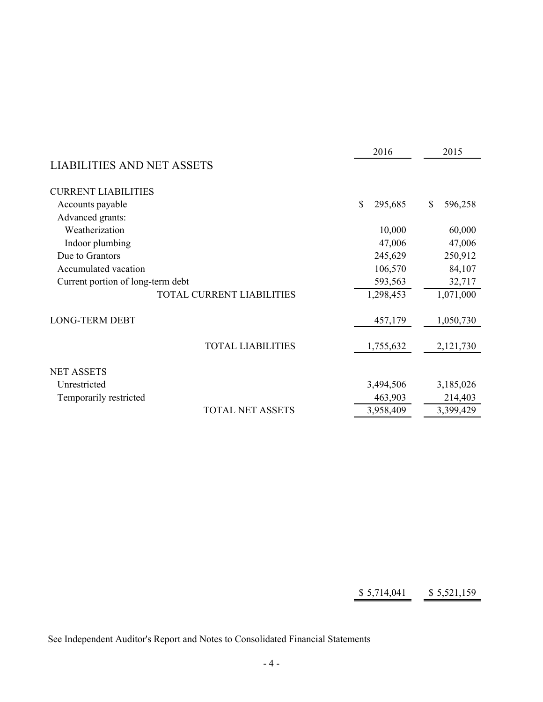|                                   | 2016          | 2015          |
|-----------------------------------|---------------|---------------|
| <b>LIABILITIES AND NET ASSETS</b> |               |               |
| <b>CURRENT LIABILITIES</b>        |               |               |
| Accounts payable                  | \$<br>295,685 | \$<br>596,258 |
| Advanced grants:                  |               |               |
| Weatherization                    | 10,000        | 60,000        |
| Indoor plumbing                   | 47,006        | 47,006        |
| Due to Grantors                   | 245,629       | 250,912       |
| Accumulated vacation              | 106,570       | 84,107        |
| Current portion of long-term debt | 593,563       | 32,717        |
| TOTAL CURRENT LIABILITIES         | 1,298,453     | 1,071,000     |
| <b>LONG-TERM DEBT</b>             | 457,179       | 1,050,730     |
| <b>TOTAL LIABILITIES</b>          | 1,755,632     | 2,121,730     |
| <b>NET ASSETS</b>                 |               |               |
| Unrestricted                      | 3,494,506     | 3,185,026     |
| Temporarily restricted            | 463,903       | 214,403       |
| <b>TOTAL NET ASSETS</b>           | 3,958,409     | 3,399,429     |

 $$\frac{$ 5,714,041}{$ 5,521,159}$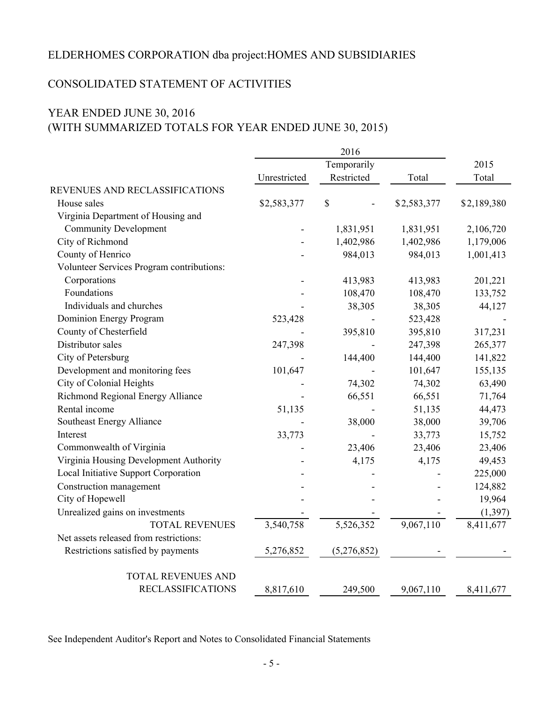# CONSOLIDATED STATEMENT OF ACTIVITIES

# YEAR ENDED JUNE 30, 2016 (WITH SUMMARIZED TOTALS FOR YEAR ENDED JUNE 30, 2015)

|                                           |              | 2016          |             |             |
|-------------------------------------------|--------------|---------------|-------------|-------------|
|                                           |              | Temporarily   |             | 2015        |
|                                           | Unrestricted | Restricted    | Total       | Total       |
| REVENUES AND RECLASSIFICATIONS            |              |               |             |             |
| House sales                               | \$2,583,377  | $\mathcal{S}$ | \$2,583,377 | \$2,189,380 |
| Virginia Department of Housing and        |              |               |             |             |
| <b>Community Development</b>              |              | 1,831,951     | 1,831,951   | 2,106,720   |
| City of Richmond                          |              | 1,402,986     | 1,402,986   | 1,179,006   |
| County of Henrico                         |              | 984,013       | 984,013     | 1,001,413   |
| Volunteer Services Program contributions: |              |               |             |             |
| Corporations                              |              | 413,983       | 413,983     | 201,221     |
| Foundations                               |              | 108,470       | 108,470     | 133,752     |
| Individuals and churches                  |              | 38,305        | 38,305      | 44,127      |
| Dominion Energy Program                   | 523,428      |               | 523,428     |             |
| County of Chesterfield                    |              | 395,810       | 395,810     | 317,231     |
| Distributor sales                         | 247,398      |               | 247,398     | 265,377     |
| City of Petersburg                        |              | 144,400       | 144,400     | 141,822     |
| Development and monitoring fees           | 101,647      |               | 101,647     | 155,135     |
| City of Colonial Heights                  |              | 74,302        | 74,302      | 63,490      |
| Richmond Regional Energy Alliance         |              | 66,551        | 66,551      | 71,764      |
| Rental income                             | 51,135       |               | 51,135      | 44,473      |
| Southeast Energy Alliance                 |              | 38,000        | 38,000      | 39,706      |
| Interest                                  | 33,773       |               | 33,773      | 15,752      |
| Commonwealth of Virginia                  |              | 23,406        | 23,406      | 23,406      |
| Virginia Housing Development Authority    |              | 4,175         | 4,175       | 49,453      |
| Local Initiative Support Corporation      |              |               |             | 225,000     |
| Construction management                   |              |               |             | 124,882     |
| City of Hopewell                          |              |               |             | 19,964      |
| Unrealized gains on investments           |              |               |             | (1, 397)    |
| <b>TOTAL REVENUES</b>                     | 3,540,758    | 5,526,352     | 9,067,110   | 8,411,677   |
| Net assets released from restrictions:    |              |               |             |             |
| Restrictions satisfied by payments        | 5,276,852    | (5,276,852)   |             |             |
| <b>TOTAL REVENUES AND</b>                 |              |               |             |             |
| <b>RECLASSIFICATIONS</b>                  | 8,817,610    | 249,500       | 9,067,110   | 8,411,677   |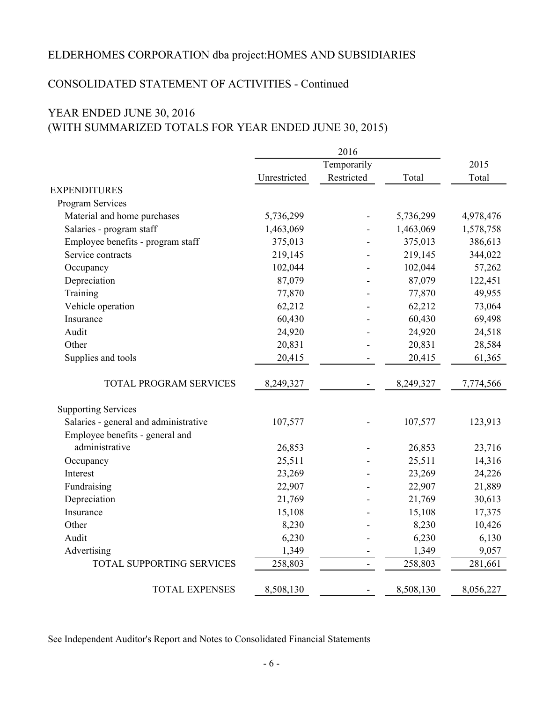# CONSOLIDATED STATEMENT OF ACTIVITIES - Continued

# YEAR ENDED JUNE 30, 2016 (WITH SUMMARIZED TOTALS FOR YEAR ENDED JUNE 30, 2015)

|                                       |              | 2016        |           |           |
|---------------------------------------|--------------|-------------|-----------|-----------|
|                                       |              | Temporarily |           | 2015      |
|                                       | Unrestricted | Restricted  | Total     | Total     |
| <b>EXPENDITURES</b>                   |              |             |           |           |
| Program Services                      |              |             |           |           |
| Material and home purchases           | 5,736,299    |             | 5,736,299 | 4,978,476 |
| Salaries - program staff              | 1,463,069    |             | 1,463,069 | 1,578,758 |
| Employee benefits - program staff     | 375,013      |             | 375,013   | 386,613   |
| Service contracts                     | 219,145      |             | 219,145   | 344,022   |
| Occupancy                             | 102,044      |             | 102,044   | 57,262    |
| Depreciation                          | 87,079       |             | 87,079    | 122,451   |
| Training                              | 77,870       |             | 77,870    | 49,955    |
| Vehicle operation                     | 62,212       |             | 62,212    | 73,064    |
| Insurance                             | 60,430       |             | 60,430    | 69,498    |
| Audit                                 | 24,920       |             | 24,920    | 24,518    |
| Other                                 | 20,831       |             | 20,831    | 28,584    |
| Supplies and tools                    | 20,415       |             | 20,415    | 61,365    |
| TOTAL PROGRAM SERVICES                | 8,249,327    |             | 8,249,327 | 7,774,566 |
| <b>Supporting Services</b>            |              |             |           |           |
| Salaries - general and administrative | 107,577      |             | 107,577   | 123,913   |
| Employee benefits - general and       |              |             |           |           |
| administrative                        | 26,853       |             | 26,853    | 23,716    |
| Occupancy                             | 25,511       |             | 25,511    | 14,316    |
| Interest                              | 23,269       |             | 23,269    | 24,226    |
| Fundraising                           | 22,907       |             | 22,907    | 21,889    |
| Depreciation                          | 21,769       |             | 21,769    | 30,613    |
| Insurance                             | 15,108       |             | 15,108    | 17,375    |
| Other                                 | 8,230        |             | 8,230     | 10,426    |
| Audit                                 | 6,230        |             | 6,230     | 6,130     |
| Advertising                           | 1,349        |             | 1,349     | 9,057     |
| TOTAL SUPPORTING SERVICES             | 258,803      |             | 258,803   | 281,661   |
| <b>TOTAL EXPENSES</b>                 | 8,508,130    |             | 8,508,130 | 8,056,227 |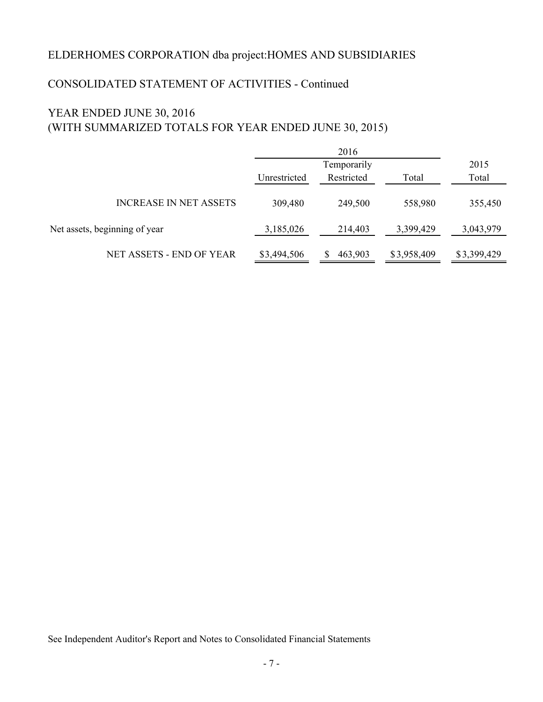# CONSOLIDATED STATEMENT OF ACTIVITIES - Continued

# YEAR ENDED JUNE 30, 2016 (WITH SUMMARIZED TOTALS FOR YEAR ENDED JUNE 30, 2015)

|                               |              | 2016        |             |             |
|-------------------------------|--------------|-------------|-------------|-------------|
|                               |              | Temporarily |             | 2015        |
|                               | Unrestricted | Restricted  | Total       | Total       |
| <b>INCREASE IN NET ASSETS</b> | 309,480      | 249,500     | 558,980     | 355,450     |
| Net assets, beginning of year | 3,185,026    | 214,403     | 3,399,429   | 3,043,979   |
| NET ASSETS - END OF YEAR      | \$3,494,506  | 463,903     | \$3,958,409 | \$3,399,429 |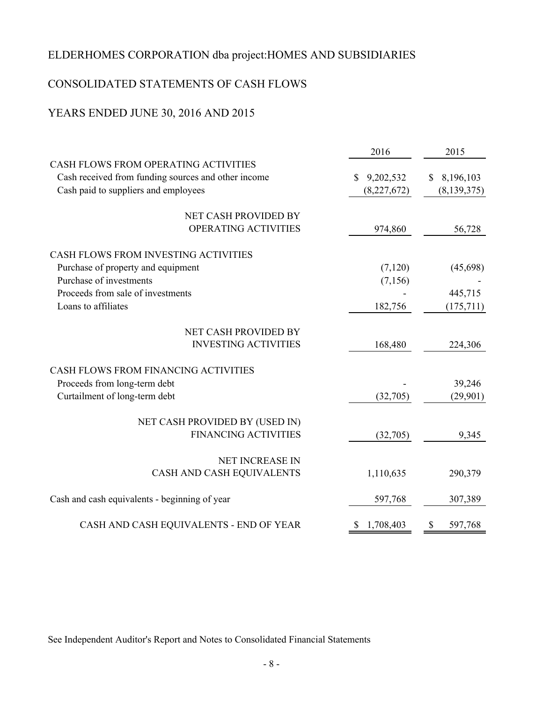# CONSOLIDATED STATEMENTS OF CASH FLOWS

# YEARS ENDED JUNE 30, 2016 AND 2015

|                                                     | 2016            | 2015            |
|-----------------------------------------------------|-----------------|-----------------|
| CASH FLOWS FROM OPERATING ACTIVITIES                |                 |                 |
| Cash received from funding sources and other income | 9,202,532<br>\$ | 8,196,103<br>\$ |
| Cash paid to suppliers and employees                | (8, 227, 672)   | (8, 139, 375)   |
| NET CASH PROVIDED BY                                |                 |                 |
| OPERATING ACTIVITIES                                | 974,860         | 56,728          |
| CASH FLOWS FROM INVESTING ACTIVITIES                |                 |                 |
| Purchase of property and equipment                  | (7,120)         | (45,698)        |
| Purchase of investments                             | (7, 156)        |                 |
| Proceeds from sale of investments                   |                 | 445,715         |
| Loans to affiliates                                 | 182,756         | (175, 711)      |
| NET CASH PROVIDED BY                                |                 |                 |
| <b>INVESTING ACTIVITIES</b>                         | 168,480         | 224,306         |
| CASH FLOWS FROM FINANCING ACTIVITIES                |                 |                 |
| Proceeds from long-term debt                        |                 | 39,246          |
| Curtailment of long-term debt                       | (32,705)        | (29,901)        |
| NET CASH PROVIDED BY (USED IN)                      |                 |                 |
| <b>FINANCING ACTIVITIES</b>                         | (32,705)        | 9,345           |
| NET INCREASE IN                                     |                 |                 |
| CASH AND CASH EQUIVALENTS                           | 1,110,635       | 290,379         |
| Cash and cash equivalents - beginning of year       | 597,768         | 307,389         |
| CASH AND CASH EQUIVALENTS - END OF YEAR             | 1,708,403<br>\$ | \$<br>597,768   |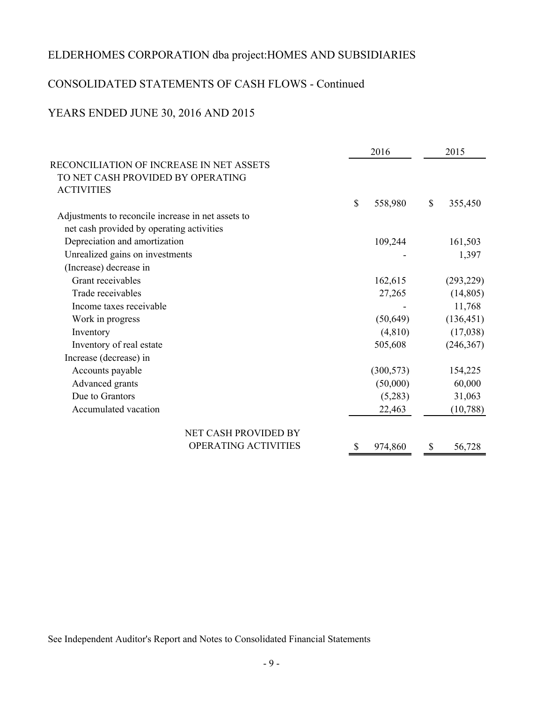# CONSOLIDATED STATEMENTS OF CASH FLOWS - Continued

# YEARS ENDED JUNE 30, 2016 AND 2015

|                                                                                                    | 2016          |    | 2015       |
|----------------------------------------------------------------------------------------------------|---------------|----|------------|
| RECONCILIATION OF INCREASE IN NET ASSETS<br>TO NET CASH PROVIDED BY OPERATING<br><b>ACTIVITIES</b> |               |    |            |
|                                                                                                    | \$<br>558,980 | \$ | 355,450    |
| Adjustments to reconcile increase in net assets to                                                 |               |    |            |
| net cash provided by operating activities                                                          |               |    |            |
| Depreciation and amortization                                                                      | 109,244       |    | 161,503    |
| Unrealized gains on investments                                                                    |               |    | 1,397      |
| (Increase) decrease in                                                                             |               |    |            |
| Grant receivables                                                                                  | 162,615       |    | (293, 229) |
| Trade receivables                                                                                  | 27,265        |    | (14,805)   |
| Income taxes receivable                                                                            |               |    | 11,768     |
| Work in progress                                                                                   | (50,649)      |    | (136, 451) |
| Inventory                                                                                          | (4, 810)      |    | (17,038)   |
| Inventory of real estate                                                                           | 505,608       |    | (246, 367) |
| Increase (decrease) in                                                                             |               |    |            |
| Accounts payable                                                                                   | (300, 573)    |    | 154,225    |
| Advanced grants                                                                                    | (50,000)      |    | 60,000     |
| Due to Grantors                                                                                    | (5,283)       |    | 31,063     |
| Accumulated vacation                                                                               | 22,463        |    | (10,788)   |
| NET CASH PROVIDED BY                                                                               |               |    |            |
| OPERATING ACTIVITIES                                                                               | \$<br>974,860 | P. | 56,728     |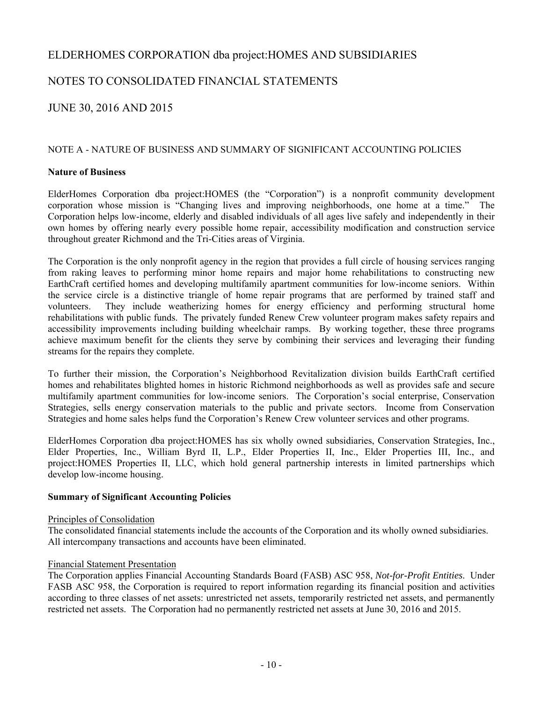# NOTES TO CONSOLIDATED FINANCIAL STATEMENTS

# JUNE 30, 2016 AND 2015

### NOTE A - NATURE OF BUSINESS AND SUMMARY OF SIGNIFICANT ACCOUNTING POLICIES

### **Nature of Business**

ElderHomes Corporation dba project:HOMES (the "Corporation") is a nonprofit community development corporation whose mission is "Changing lives and improving neighborhoods, one home at a time." The Corporation helps low-income, elderly and disabled individuals of all ages live safely and independently in their own homes by offering nearly every possible home repair, accessibility modification and construction service throughout greater Richmond and the Tri-Cities areas of Virginia.

The Corporation is the only nonprofit agency in the region that provides a full circle of housing services ranging from raking leaves to performing minor home repairs and major home rehabilitations to constructing new EarthCraft certified homes and developing multifamily apartment communities for low-income seniors. Within the service circle is a distinctive triangle of home repair programs that are performed by trained staff and volunteers. They include weatherizing homes for energy efficiency and performing structural home rehabilitations with public funds. The privately funded Renew Crew volunteer program makes safety repairs and accessibility improvements including building wheelchair ramps. By working together, these three programs achieve maximum benefit for the clients they serve by combining their services and leveraging their funding streams for the repairs they complete.

To further their mission, the Corporation's Neighborhood Revitalization division builds EarthCraft certified homes and rehabilitates blighted homes in historic Richmond neighborhoods as well as provides safe and secure multifamily apartment communities for low-income seniors. The Corporation's social enterprise, Conservation Strategies, sells energy conservation materials to the public and private sectors. Income from Conservation Strategies and home sales helps fund the Corporation's Renew Crew volunteer services and other programs.

ElderHomes Corporation dba project:HOMES has six wholly owned subsidiaries, Conservation Strategies, Inc., Elder Properties, Inc., William Byrd II, L.P., Elder Properties II, Inc., Elder Properties III, Inc., and project:HOMES Properties II, LLC, which hold general partnership interests in limited partnerships which develop low-income housing.

### **Summary of Significant Accounting Policies**

### Principles of Consolidation

The consolidated financial statements include the accounts of the Corporation and its wholly owned subsidiaries. All intercompany transactions and accounts have been eliminated.

### Financial Statement Presentation

The Corporation applies Financial Accounting Standards Board (FASB) ASC 958, *Not-for-Profit Entities*. Under FASB ASC 958, the Corporation is required to report information regarding its financial position and activities according to three classes of net assets: unrestricted net assets, temporarily restricted net assets, and permanently restricted net assets. The Corporation had no permanently restricted net assets at June 30, 2016 and 2015.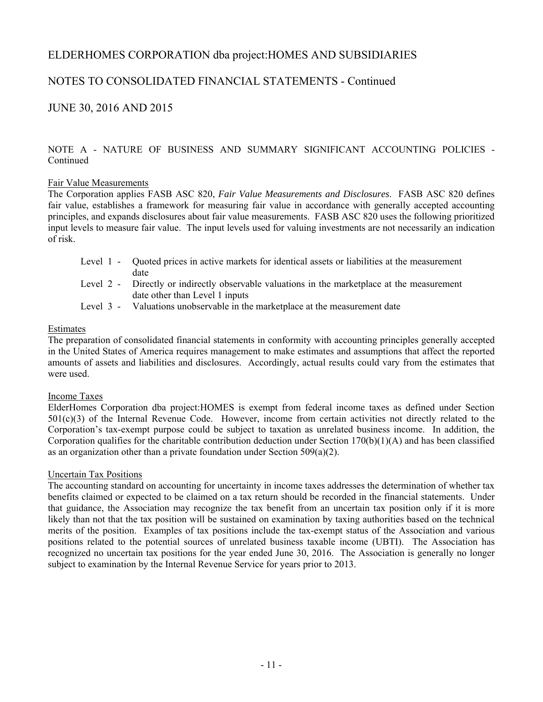# NOTES TO CONSOLIDATED FINANCIAL STATEMENTS - Continued

# JUNE 30, 2016 AND 2015

### NOTE A - NATURE OF BUSINESS AND SUMMARY SIGNIFICANT ACCOUNTING POLICIES - Continued

### Fair Value Measurements

The Corporation applies FASB ASC 820, *Fair Value Measurements and Disclosures*. FASB ASC 820 defines fair value, establishes a framework for measuring fair value in accordance with generally accepted accounting principles, and expands disclosures about fair value measurements. FASB ASC 820 uses the following prioritized input levels to measure fair value. The input levels used for valuing investments are not necessarily an indication of risk.

- Level 1 Quoted prices in active markets for identical assets or liabilities at the measurement date
- Level 2 Directly or indirectly observable valuations in the marketplace at the measurement date other than Level 1 inputs
- Level 3 Valuations unobservable in the marketplace at the measurement date

### Estimates

The preparation of consolidated financial statements in conformity with accounting principles generally accepted in the United States of America requires management to make estimates and assumptions that affect the reported amounts of assets and liabilities and disclosures. Accordingly, actual results could vary from the estimates that were used.

### Income Taxes

ElderHomes Corporation dba project:HOMES is exempt from federal income taxes as defined under Section 501(c)(3) of the Internal Revenue Code. However, income from certain activities not directly related to the Corporation's tax-exempt purpose could be subject to taxation as unrelated business income. In addition, the Corporation qualifies for the charitable contribution deduction under Section  $170(b)(1)(A)$  and has been classified as an organization other than a private foundation under Section 509(a)(2).

### Uncertain Tax Positions

The accounting standard on accounting for uncertainty in income taxes addresses the determination of whether tax benefits claimed or expected to be claimed on a tax return should be recorded in the financial statements. Under that guidance, the Association may recognize the tax benefit from an uncertain tax position only if it is more likely than not that the tax position will be sustained on examination by taxing authorities based on the technical merits of the position. Examples of tax positions include the tax-exempt status of the Association and various positions related to the potential sources of unrelated business taxable income (UBTI). The Association has recognized no uncertain tax positions for the year ended June 30, 2016. The Association is generally no longer subject to examination by the Internal Revenue Service for years prior to 2013.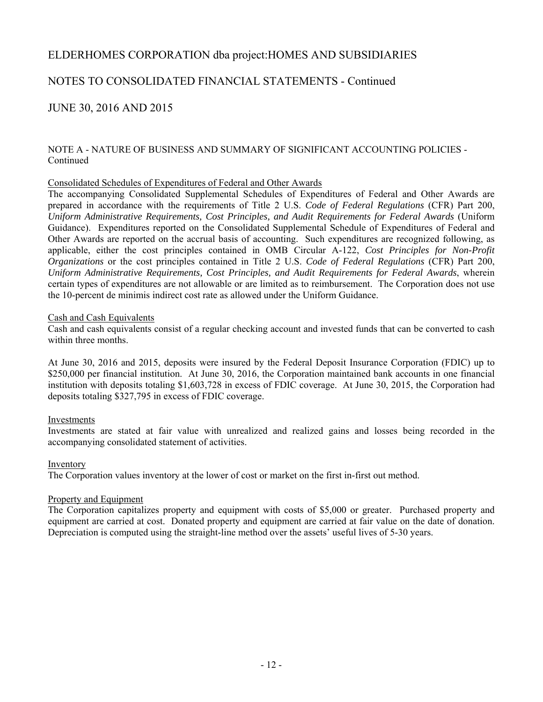# NOTES TO CONSOLIDATED FINANCIAL STATEMENTS - Continued

# JUNE 30, 2016 AND 2015

### NOTE A - NATURE OF BUSINESS AND SUMMARY OF SIGNIFICANT ACCOUNTING POLICIES - Continued

### Consolidated Schedules of Expenditures of Federal and Other Awards

The accompanying Consolidated Supplemental Schedules of Expenditures of Federal and Other Awards are prepared in accordance with the requirements of Title 2 U.S. *Code of Federal Regulations* (CFR) Part 200, *Uniform Administrative Requirements, Cost Principles, and Audit Requirements for Federal Awards* (Uniform Guidance). Expenditures reported on the Consolidated Supplemental Schedule of Expenditures of Federal and Other Awards are reported on the accrual basis of accounting. Such expenditures are recognized following, as applicable, either the cost principles contained in OMB Circular A-122, *Cost Principles for Non-Profit Organizations* or the cost principles contained in Title 2 U.S. *Code of Federal Regulations* (CFR) Part 200, *Uniform Administrative Requirements, Cost Principles, and Audit Requirements for Federal Awards*, wherein certain types of expenditures are not allowable or are limited as to reimbursement. The Corporation does not use the 10-percent de minimis indirect cost rate as allowed under the Uniform Guidance.

### Cash and Cash Equivalents

Cash and cash equivalents consist of a regular checking account and invested funds that can be converted to cash within three months.

At June 30, 2016 and 2015, deposits were insured by the Federal Deposit Insurance Corporation (FDIC) up to \$250,000 per financial institution. At June 30, 2016, the Corporation maintained bank accounts in one financial institution with deposits totaling \$1,603,728 in excess of FDIC coverage. At June 30, 2015, the Corporation had deposits totaling \$327,795 in excess of FDIC coverage.

### Investments

Investments are stated at fair value with unrealized and realized gains and losses being recorded in the accompanying consolidated statement of activities.

### Inventory

The Corporation values inventory at the lower of cost or market on the first in-first out method.

### Property and Equipment

The Corporation capitalizes property and equipment with costs of \$5,000 or greater. Purchased property and equipment are carried at cost. Donated property and equipment are carried at fair value on the date of donation. Depreciation is computed using the straight-line method over the assets' useful lives of 5-30 years.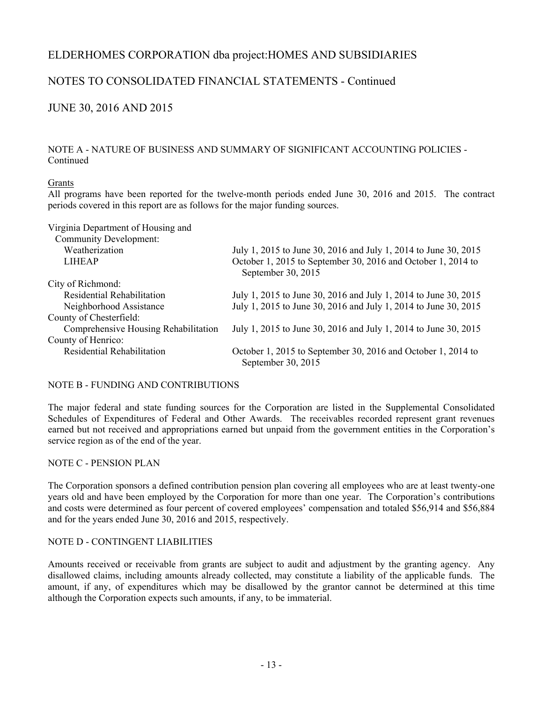# NOTES TO CONSOLIDATED FINANCIAL STATEMENTS - Continued

# JUNE 30, 2016 AND 2015

### NOTE A - NATURE OF BUSINESS AND SUMMARY OF SIGNIFICANT ACCOUNTING POLICIES - Continued

### Grants

All programs have been reported for the twelve-month periods ended June 30, 2016 and 2015. The contract periods covered in this report are as follows for the major funding sources.

| Virginia Department of Housing and   |                                                                                    |
|--------------------------------------|------------------------------------------------------------------------------------|
| <b>Community Development:</b>        |                                                                                    |
| Weatherization                       | July 1, 2015 to June 30, 2016 and July 1, 2014 to June 30, 2015                    |
| <b>LIHEAP</b>                        | October 1, 2015 to September 30, 2016 and October 1, 2014 to<br>September 30, 2015 |
| City of Richmond:                    |                                                                                    |
| Residential Rehabilitation           | July 1, 2015 to June 30, 2016 and July 1, 2014 to June 30, 2015                    |
| Neighborhood Assistance              | July 1, 2015 to June 30, 2016 and July 1, 2014 to June 30, 2015                    |
| County of Chesterfield:              |                                                                                    |
| Comprehensive Housing Rehabilitation | July 1, 2015 to June 30, 2016 and July 1, 2014 to June 30, 2015                    |
| County of Henrico:                   |                                                                                    |
| Residential Rehabilitation           | October 1, 2015 to September 30, 2016 and October 1, 2014 to<br>September 30, 2015 |

### NOTE B - FUNDING AND CONTRIBUTIONS

The major federal and state funding sources for the Corporation are listed in the Supplemental Consolidated Schedules of Expenditures of Federal and Other Awards. The receivables recorded represent grant revenues earned but not received and appropriations earned but unpaid from the government entities in the Corporation's service region as of the end of the year.

### NOTE C - PENSION PLAN

The Corporation sponsors a defined contribution pension plan covering all employees who are at least twenty-one years old and have been employed by the Corporation for more than one year. The Corporation's contributions and costs were determined as four percent of covered employees' compensation and totaled \$56,914 and \$56,884 and for the years ended June 30, 2016 and 2015, respectively.

### NOTE D - CONTINGENT LIABILITIES

Amounts received or receivable from grants are subject to audit and adjustment by the granting agency. Any disallowed claims, including amounts already collected, may constitute a liability of the applicable funds. The amount, if any, of expenditures which may be disallowed by the grantor cannot be determined at this time although the Corporation expects such amounts, if any, to be immaterial.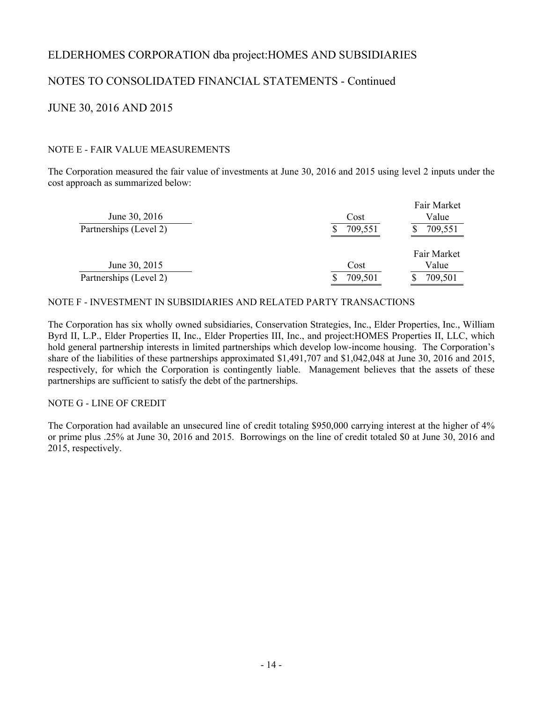# NOTES TO CONSOLIDATED FINANCIAL STATEMENTS - Continued

# JUNE 30, 2016 AND 2015

### NOTE E - FAIR VALUE MEASUREMENTS

The Corporation measured the fair value of investments at June 30, 2016 and 2015 using level 2 inputs under the cost approach as summarized below:

| June 30, 2016          | Cost    | Fair Market<br>Value |
|------------------------|---------|----------------------|
| Partnerships (Level 2) | 709,551 | 709,551              |
| June 30, 2015          | Cost    | Fair Market<br>Value |
| Partnerships (Level 2) | 709,501 | 709,501              |

### NOTE F - INVESTMENT IN SUBSIDIARIES AND RELATED PARTY TRANSACTIONS

The Corporation has six wholly owned subsidiaries, Conservation Strategies, Inc., Elder Properties, Inc., William Byrd II, L.P., Elder Properties II, Inc., Elder Properties III, Inc., and project:HOMES Properties II, LLC, which hold general partnership interests in limited partnerships which develop low-income housing. The Corporation's share of the liabilities of these partnerships approximated \$1,491,707 and \$1,042,048 at June 30, 2016 and 2015, respectively, for which the Corporation is contingently liable. Management believes that the assets of these partnerships are sufficient to satisfy the debt of the partnerships.

### NOTE G - LINE OF CREDIT

The Corporation had available an unsecured line of credit totaling \$950,000 carrying interest at the higher of 4% or prime plus .25% at June 30, 2016 and 2015. Borrowings on the line of credit totaled \$0 at June 30, 2016 and 2015, respectively.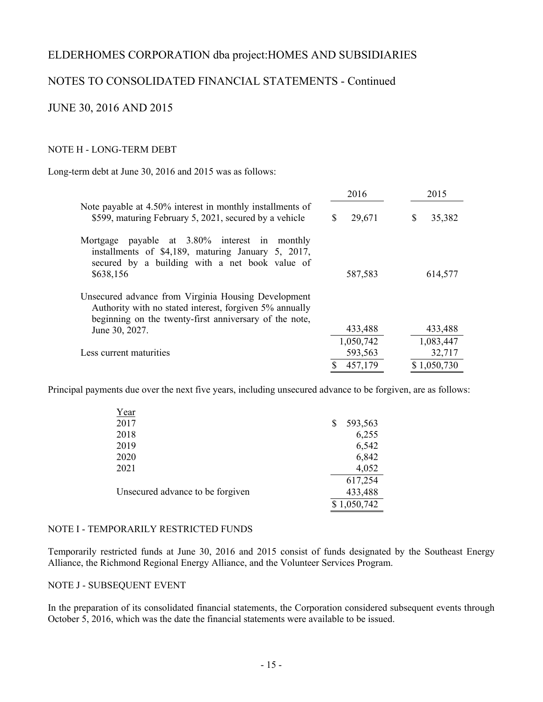# NOTES TO CONSOLIDATED FINANCIAL STATEMENTS - Continued

### JUNE 30, 2016 AND 2015

### NOTE H - LONG-TERM DEBT

Long-term debt at June 30, 2016 and 2015 was as follows:

|                                                                                                                                                                          | 2016         | 2015                    |
|--------------------------------------------------------------------------------------------------------------------------------------------------------------------------|--------------|-------------------------|
| Note payable at 4.50% interest in monthly installments of<br>\$599, maturing February 5, 2021, secured by a vehicle                                                      | 29,671<br>S. | <sup>\$</sup><br>35,382 |
| Mortgage payable at 3.80% interest in monthly<br>installments of \$4,189, maturing January 5, 2017,<br>secured by a building with a net book value of<br>\$638,156       | 587,583      | 614,577                 |
| Unsecured advance from Virginia Housing Development<br>Authority with no stated interest, forgiven 5% annually<br>beginning on the twenty-first anniversary of the note, |              |                         |
| June 30, 2027.                                                                                                                                                           | 433,488      | 433,488                 |
|                                                                                                                                                                          | 1,050,742    | 1,083,447               |
| Less current maturities                                                                                                                                                  | 593,563      | 32,717                  |
|                                                                                                                                                                          | 457,179      | \$1,050,730             |

Principal payments due over the next five years, including unsecured advance to be forgiven, are as follows:

| Year                             |   |           |
|----------------------------------|---|-----------|
| 2017                             | S | 593,563   |
| 2018                             |   | 6,255     |
| 2019                             |   | 6,542     |
| 2020                             |   | 6,842     |
| 2021                             |   | 4,052     |
|                                  |   | 617,254   |
| Unsecured advance to be forgiven |   | 433,488   |
|                                  |   | 1,050,742 |

### NOTE I - TEMPORARILY RESTRICTED FUNDS

Temporarily restricted funds at June 30, 2016 and 2015 consist of funds designated by the Southeast Energy Alliance, the Richmond Regional Energy Alliance, and the Volunteer Services Program.

### NOTE J - SUBSEQUENT EVENT

In the preparation of its consolidated financial statements, the Corporation considered subsequent events through October 5, 2016, which was the date the financial statements were available to be issued.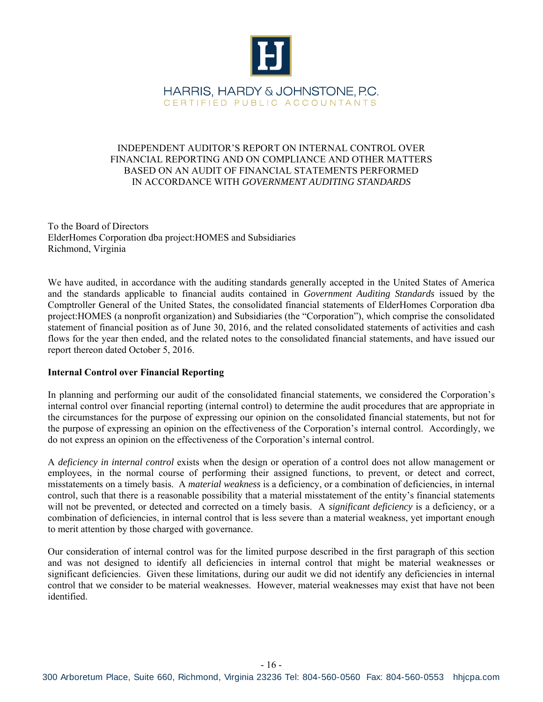

### INDEPENDENT AUDITOR'S REPORT ON INTERNAL CONTROL OVER FINANCIAL REPORTING AND ON COMPLIANCE AND OTHER MATTERS BASED ON AN AUDIT OF FINANCIAL STATEMENTS PERFORMED IN ACCORDANCE WITH *GOVERNMENT AUDITING STANDARDS*

To the Board of Directors ElderHomes Corporation dba project:HOMES and Subsidiaries Richmond, Virginia

We have audited, in accordance with the auditing standards generally accepted in the United States of America and the standards applicable to financial audits contained in *Government Auditing Standards* issued by the Comptroller General of the United States, the consolidated financial statements of ElderHomes Corporation dba project:HOMES (a nonprofit organization) and Subsidiaries (the "Corporation"), which comprise the consolidated statement of financial position as of June 30, 2016, and the related consolidated statements of activities and cash flows for the year then ended, and the related notes to the consolidated financial statements, and have issued our report thereon dated October 5, 2016.

### **Internal Control over Financial Reporting**

In planning and performing our audit of the consolidated financial statements, we considered the Corporation's internal control over financial reporting (internal control) to determine the audit procedures that are appropriate in the circumstances for the purpose of expressing our opinion on the consolidated financial statements, but not for the purpose of expressing an opinion on the effectiveness of the Corporation's internal control. Accordingly, we do not express an opinion on the effectiveness of the Corporation's internal control.

A *deficiency in internal control* exists when the design or operation of a control does not allow management or employees, in the normal course of performing their assigned functions, to prevent, or detect and correct, misstatements on a timely basis. A *material weakness* is a deficiency, or a combination of deficiencies, in internal control, such that there is a reasonable possibility that a material misstatement of the entity's financial statements will not be prevented, or detected and corrected on a timely basis. A *significant deficiency* is a deficiency, or a combination of deficiencies, in internal control that is less severe than a material weakness, yet important enough to merit attention by those charged with governance.

Our consideration of internal control was for the limited purpose described in the first paragraph of this section and was not designed to identify all deficiencies in internal control that might be material weaknesses or significant deficiencies. Given these limitations, during our audit we did not identify any deficiencies in internal control that we consider to be material weaknesses. However, material weaknesses may exist that have not been identified.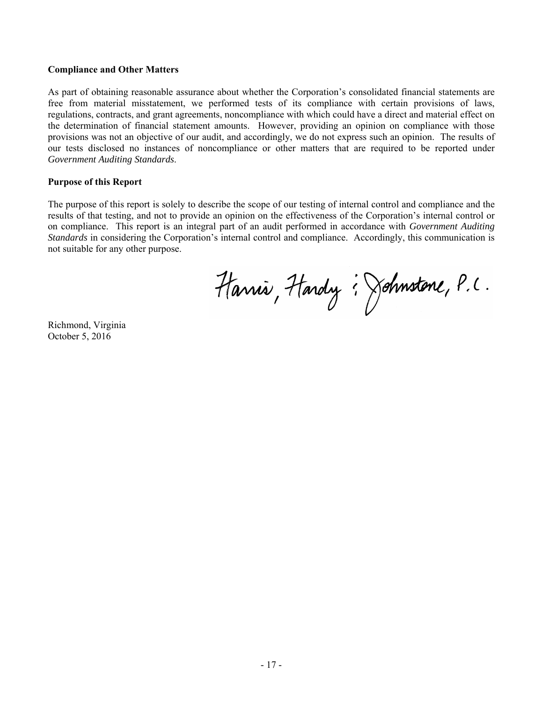### **Compliance and Other Matters**

As part of obtaining reasonable assurance about whether the Corporation's consolidated financial statements are free from material misstatement, we performed tests of its compliance with certain provisions of laws, regulations, contracts, and grant agreements, noncompliance with which could have a direct and material effect on the determination of financial statement amounts. However, providing an opinion on compliance with those provisions was not an objective of our audit, and accordingly, we do not express such an opinion. The results of our tests disclosed no instances of noncompliance or other matters that are required to be reported under *Government Auditing Standards*.

### **Purpose of this Report**

The purpose of this report is solely to describe the scope of our testing of internal control and compliance and the results of that testing, and not to provide an opinion on the effectiveness of the Corporation's internal control or on compliance. This report is an integral part of an audit performed in accordance with *Government Auditing Standards* in considering the Corporation's internal control and compliance. Accordingly, this communication is not suitable for any other purpose.

Harris, Hardy ; Johnstone, P.C.

Richmond, Virginia October 5, 2016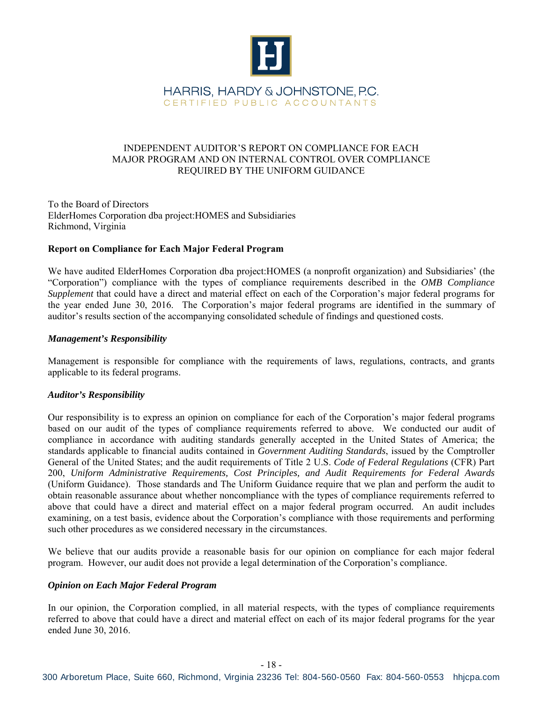

### INDEPENDENT AUDITOR'S REPORT ON COMPLIANCE FOR EACH MAJOR PROGRAM AND ON INTERNAL CONTROL OVER COMPLIANCE REQUIRED BY THE UNIFORM GUIDANCE

To the Board of Directors ElderHomes Corporation dba project:HOMES and Subsidiaries Richmond, Virginia

### **Report on Compliance for Each Major Federal Program**

We have audited ElderHomes Corporation dba project:HOMES (a nonprofit organization) and Subsidiaries' (the "Corporation") compliance with the types of compliance requirements described in the *OMB Compliance Supplement* that could have a direct and material effect on each of the Corporation's major federal programs for the year ended June 30, 2016. The Corporation's major federal programs are identified in the summary of auditor's results section of the accompanying consolidated schedule of findings and questioned costs.

### *Management's Responsibility*

Management is responsible for compliance with the requirements of laws, regulations, contracts, and grants applicable to its federal programs.

### *Auditor's Responsibility*

Our responsibility is to express an opinion on compliance for each of the Corporation's major federal programs based on our audit of the types of compliance requirements referred to above. We conducted our audit of compliance in accordance with auditing standards generally accepted in the United States of America; the standards applicable to financial audits contained in *Government Auditing Standards*, issued by the Comptroller General of the United States; and the audit requirements of Title 2 U.S. *Code of Federal Regulations* (CFR) Part 200, *Uniform Administrative Requirements, Cost Principles, and Audit Requirements for Federal Awards*  (Uniform Guidance). Those standards and The Uniform Guidance require that we plan and perform the audit to obtain reasonable assurance about whether noncompliance with the types of compliance requirements referred to above that could have a direct and material effect on a major federal program occurred. An audit includes examining, on a test basis, evidence about the Corporation's compliance with those requirements and performing such other procedures as we considered necessary in the circumstances.

We believe that our audits provide a reasonable basis for our opinion on compliance for each major federal program. However, our audit does not provide a legal determination of the Corporation's compliance.

### *Opinion on Each Major Federal Program*

In our opinion, the Corporation complied, in all material respects, with the types of compliance requirements referred to above that could have a direct and material effect on each of its major federal programs for the year ended June 30, 2016.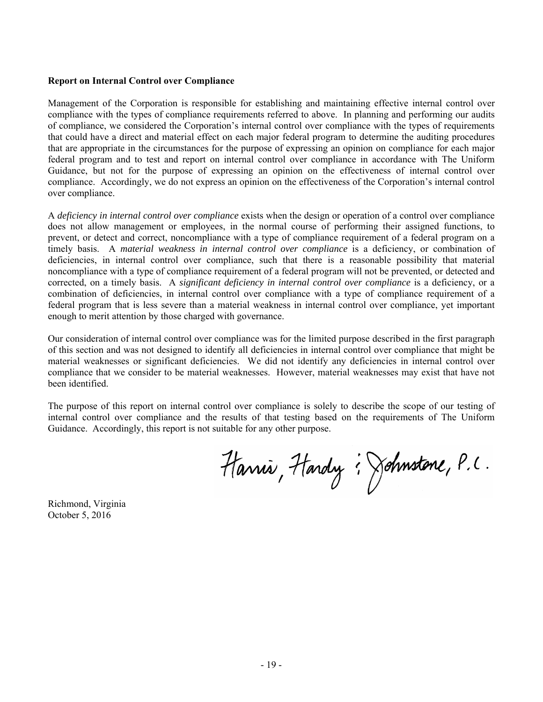### **Report on Internal Control over Compliance**

Management of the Corporation is responsible for establishing and maintaining effective internal control over compliance with the types of compliance requirements referred to above. In planning and performing our audits of compliance, we considered the Corporation's internal control over compliance with the types of requirements that could have a direct and material effect on each major federal program to determine the auditing procedures that are appropriate in the circumstances for the purpose of expressing an opinion on compliance for each major federal program and to test and report on internal control over compliance in accordance with The Uniform Guidance, but not for the purpose of expressing an opinion on the effectiveness of internal control over compliance. Accordingly, we do not express an opinion on the effectiveness of the Corporation's internal control over compliance.

A *deficiency in internal control over compliance* exists when the design or operation of a control over compliance does not allow management or employees, in the normal course of performing their assigned functions, to prevent, or detect and correct, noncompliance with a type of compliance requirement of a federal program on a timely basis. A *material weakness in internal control over compliance* is a deficiency, or combination of deficiencies, in internal control over compliance, such that there is a reasonable possibility that material noncompliance with a type of compliance requirement of a federal program will not be prevented, or detected and corrected, on a timely basis. A *significant deficiency in internal control over compliance* is a deficiency, or a combination of deficiencies, in internal control over compliance with a type of compliance requirement of a federal program that is less severe than a material weakness in internal control over compliance, yet important enough to merit attention by those charged with governance.

Our consideration of internal control over compliance was for the limited purpose described in the first paragraph of this section and was not designed to identify all deficiencies in internal control over compliance that might be material weaknesses or significant deficiencies. We did not identify any deficiencies in internal control over compliance that we consider to be material weaknesses. However, material weaknesses may exist that have not been identified.

The purpose of this report on internal control over compliance is solely to describe the scope of our testing of internal control over compliance and the results of that testing based on the requirements of The Uniform Guidance. Accordingly, this report is not suitable for any other purpose.

Harris, Hardy : Johnstone, P.C.

Richmond, Virginia October 5, 2016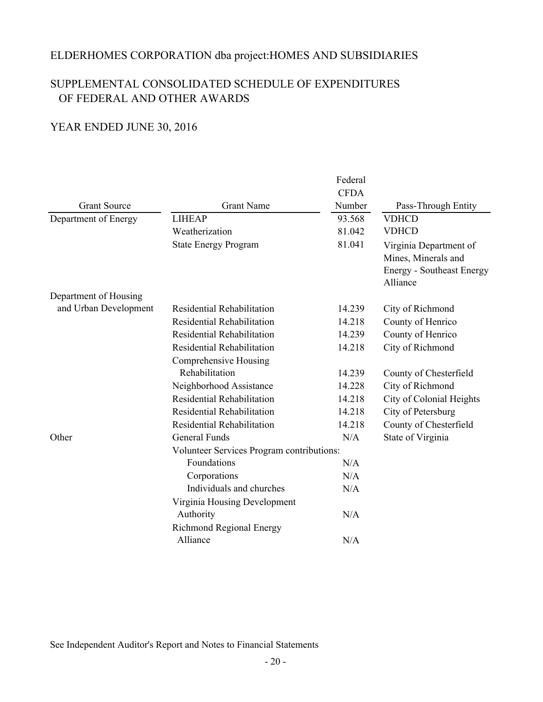# SUPPLEMENTAL CONSOLIDATED SCHEDULE OF EXPENDITURES OF FEDERAL AND OTHER AWARDS

# YEAR ENDED JUNE 30, 2016

|                       |                                           | Federal     |                                                                                               |  |
|-----------------------|-------------------------------------------|-------------|-----------------------------------------------------------------------------------------------|--|
|                       |                                           | <b>CFDA</b> |                                                                                               |  |
| <b>Grant Source</b>   | <b>Grant Name</b>                         | Number      | Pass-Through Entity                                                                           |  |
| Department of Energy  | <b>LIHEAP</b>                             | 93.568      | <b>VDHCD</b>                                                                                  |  |
|                       | Weatherization                            | 81.042      | <b>VDHCD</b>                                                                                  |  |
|                       | <b>State Energy Program</b>               | 81.041      | Virginia Department of<br>Mines, Minerals and<br><b>Energy - Southeast Energy</b><br>Alliance |  |
| Department of Housing |                                           |             |                                                                                               |  |
| and Urban Development | Residential Rehabilitation                | 14.239      | City of Richmond                                                                              |  |
|                       | Residential Rehabilitation                | 14.218      | County of Henrico                                                                             |  |
|                       | Residential Rehabilitation                | 14.239      | County of Henrico                                                                             |  |
|                       | Residential Rehabilitation                | 14.218      | City of Richmond                                                                              |  |
|                       | Comprehensive Housing                     |             |                                                                                               |  |
|                       | Rehabilitation                            | 14.239      | County of Chesterfield                                                                        |  |
|                       | Neighborhood Assistance                   | 14.228      | City of Richmond                                                                              |  |
|                       | Residential Rehabilitation                | 14.218      | City of Colonial Heights                                                                      |  |
|                       | Residential Rehabilitation                | 14.218      | City of Petersburg                                                                            |  |
|                       | Residential Rehabilitation                | 14.218      | County of Chesterfield                                                                        |  |
| Other                 | <b>General Funds</b>                      | N/A         | State of Virginia                                                                             |  |
|                       | Volunteer Services Program contributions: |             |                                                                                               |  |
|                       | Foundations                               | N/A         |                                                                                               |  |
|                       | Corporations                              | N/A         |                                                                                               |  |
|                       | Individuals and churches                  | N/A         |                                                                                               |  |
|                       | Virginia Housing Development              |             |                                                                                               |  |
|                       | Authority                                 | N/A         |                                                                                               |  |
|                       | <b>Richmond Regional Energy</b>           |             |                                                                                               |  |
|                       | Alliance                                  | N/A         |                                                                                               |  |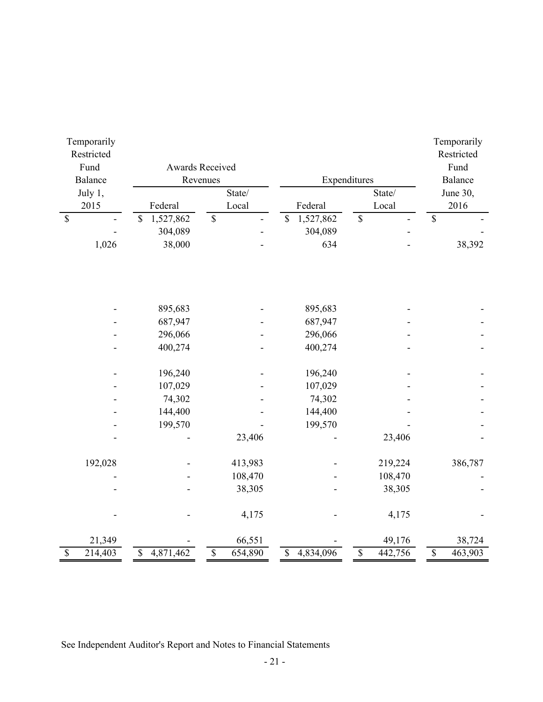|                          | Temporarily                                    |                                 |                          |                            |                                     | Temporarily                         |
|--------------------------|------------------------------------------------|---------------------------------|--------------------------|----------------------------|-------------------------------------|-------------------------------------|
|                          | Restricted                                     |                                 |                          |                            |                                     | Restricted<br>Fund                  |
|                          | Fund<br>Awards Received<br>Balance<br>Revenues |                                 |                          |                            |                                     | Balance                             |
|                          | July 1,                                        |                                 | State/                   | Expenditures               |                                     | June 30,                            |
|                          | 2015                                           | Federal                         | Local                    | State/<br>Federal<br>Local |                                     | 2016                                |
| $\overline{\mathcal{S}}$ |                                                | $\mathbf{\hat{S}}$<br>1,527,862 | $\overline{\mathcal{S}}$ | $\mathbb{S}$<br>1,527,862  | $\overline{\mathcal{S}}$            | $\overline{\mathcal{S}}$            |
|                          |                                                | 304,089                         |                          | 304,089                    |                                     |                                     |
|                          | 1,026                                          | 38,000                          |                          | 634                        |                                     | 38,392                              |
|                          |                                                |                                 |                          |                            |                                     |                                     |
|                          |                                                |                                 |                          |                            |                                     |                                     |
|                          |                                                | 895,683                         |                          | 895,683                    |                                     |                                     |
|                          |                                                | 687,947                         |                          | 687,947                    |                                     |                                     |
|                          |                                                | 296,066                         |                          | 296,066                    |                                     |                                     |
|                          |                                                | 400,274                         |                          | 400,274                    |                                     |                                     |
|                          |                                                |                                 |                          |                            |                                     |                                     |
|                          |                                                | 196,240                         |                          | 196,240                    |                                     |                                     |
|                          |                                                | 107,029                         |                          | 107,029                    |                                     |                                     |
|                          |                                                | 74,302                          |                          | 74,302                     |                                     |                                     |
|                          |                                                | 144,400                         |                          | 144,400                    |                                     |                                     |
|                          |                                                | 199,570                         |                          | 199,570                    |                                     |                                     |
|                          |                                                |                                 | 23,406                   |                            | 23,406                              |                                     |
|                          | 192,028                                        |                                 | 413,983                  |                            | 219,224                             | 386,787                             |
|                          |                                                |                                 | 108,470                  |                            | 108,470                             |                                     |
|                          |                                                |                                 | 38,305                   |                            | 38,305                              |                                     |
|                          |                                                |                                 | 4,175                    |                            | 4,175                               |                                     |
|                          | 21,349                                         |                                 | 66,551                   |                            | 49,176                              | 38,724                              |
| $\$$                     | 214,403                                        | \$<br>4,871,462                 | \$<br>654,890            | $\$$<br>4,834,096          | $\overline{\mathcal{S}}$<br>442,756 | $\overline{\mathcal{S}}$<br>463,903 |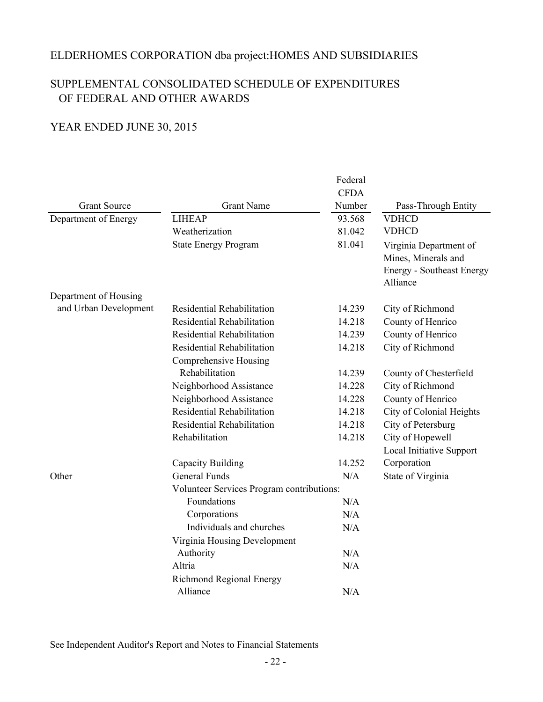# SUPPLEMENTAL CONSOLIDATED SCHEDULE OF EXPENDITURES OF FEDERAL AND OTHER AWARDS

# YEAR ENDED JUNE 30, 2015

|                       |                                           | Federal<br><b>CFDA</b> |                                              |  |  |
|-----------------------|-------------------------------------------|------------------------|----------------------------------------------|--|--|
| <b>Grant Source</b>   | <b>Grant Name</b>                         | Number                 | Pass-Through Entity                          |  |  |
| Department of Energy  | <b>LIHEAP</b>                             | 93.568                 | <b>VDHCD</b>                                 |  |  |
|                       | Weatherization                            | 81.042                 | <b>VDHCD</b>                                 |  |  |
|                       | <b>State Energy Program</b>               | 81.041                 | Virginia Department of                       |  |  |
|                       |                                           |                        | Mines, Minerals and                          |  |  |
|                       |                                           |                        | <b>Energy - Southeast Energy</b><br>Alliance |  |  |
| Department of Housing |                                           |                        |                                              |  |  |
| and Urban Development | Residential Rehabilitation                | 14.239                 | City of Richmond                             |  |  |
|                       | Residential Rehabilitation                | 14.218                 | County of Henrico                            |  |  |
|                       | Residential Rehabilitation                | 14.239                 | County of Henrico                            |  |  |
|                       | Residential Rehabilitation                | 14.218                 | City of Richmond                             |  |  |
|                       | Comprehensive Housing                     |                        |                                              |  |  |
|                       | Rehabilitation                            | 14.239                 | County of Chesterfield                       |  |  |
|                       | Neighborhood Assistance                   | 14.228                 | City of Richmond                             |  |  |
|                       | Neighborhood Assistance                   | 14.228                 | County of Henrico                            |  |  |
|                       | Residential Rehabilitation                | 14.218                 | City of Colonial Heights                     |  |  |
|                       | Residential Rehabilitation                | 14.218                 | City of Petersburg                           |  |  |
|                       | Rehabilitation                            | 14.218                 | City of Hopewell                             |  |  |
|                       |                                           |                        | Local Initiative Support                     |  |  |
|                       | Capacity Building                         | 14.252                 | Corporation                                  |  |  |
| Other                 | <b>General Funds</b>                      | N/A                    | State of Virginia                            |  |  |
|                       | Volunteer Services Program contributions: |                        |                                              |  |  |
|                       | Foundations                               | N/A                    |                                              |  |  |
|                       | Corporations                              | N/A                    |                                              |  |  |
|                       | Individuals and churches                  | N/A                    |                                              |  |  |
|                       | Virginia Housing Development              |                        |                                              |  |  |
|                       | Authority                                 | N/A                    |                                              |  |  |
|                       | Altria                                    | N/A                    |                                              |  |  |
|                       | <b>Richmond Regional Energy</b>           |                        |                                              |  |  |
|                       | Alliance                                  | N/A                    |                                              |  |  |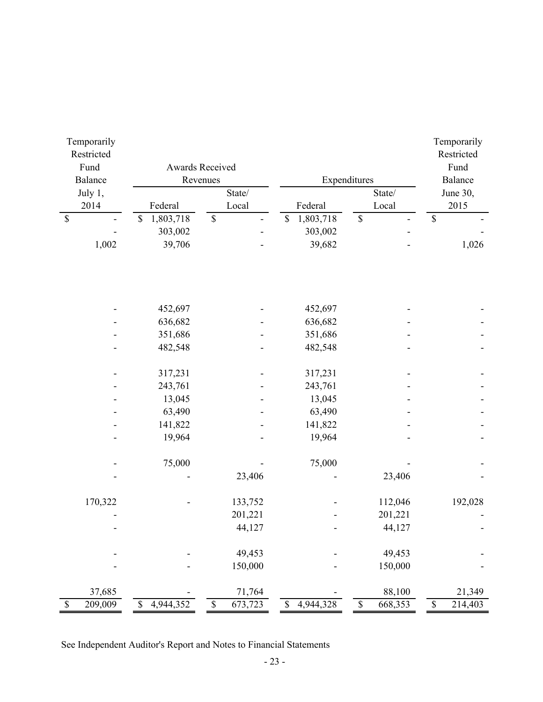| Temporarily                                           |                 |                                      |                        |                        | Temporarily                          |  |
|-------------------------------------------------------|-----------------|--------------------------------------|------------------------|------------------------|--------------------------------------|--|
| Restricted                                            |                 |                                      |                        |                        | Restricted<br>Fund                   |  |
| Fund<br><b>Awards Received</b><br>Balance<br>Revenues |                 |                                      |                        |                        | Balance                              |  |
| July 1,                                               |                 | State/                               | Expenditures<br>State/ |                        | June 30,                             |  |
| 2014                                                  | Federal         | Local                                | Federal                | Local                  | 2015                                 |  |
| $\mathbb{S}$                                          | 1,803,718<br>\$ | $\$$                                 | \$<br>1,803,718        | $\mathbb S$            | $\mathbb S$                          |  |
|                                                       | 303,002         |                                      | 303,002                |                        |                                      |  |
| 1,002                                                 | 39,706          |                                      | 39,682                 |                        | 1,026                                |  |
|                                                       |                 |                                      |                        |                        |                                      |  |
|                                                       |                 |                                      |                        |                        |                                      |  |
|                                                       | 452,697         |                                      | 452,697                |                        |                                      |  |
|                                                       | 636,682         |                                      | 636,682<br>351,686     |                        |                                      |  |
|                                                       | 351,686         |                                      |                        |                        |                                      |  |
|                                                       | 482,548         |                                      | 482,548                |                        |                                      |  |
|                                                       | 317,231         |                                      | 317,231                |                        |                                      |  |
|                                                       | 243,761         |                                      | 243,761                |                        |                                      |  |
|                                                       | 13,045          |                                      | 13,045                 |                        |                                      |  |
|                                                       | 63,490          |                                      | 63,490                 |                        |                                      |  |
|                                                       | 141,822         |                                      | 141,822                |                        |                                      |  |
|                                                       | 19,964          |                                      | 19,964                 |                        |                                      |  |
|                                                       | 75,000          |                                      | 75,000                 |                        |                                      |  |
|                                                       |                 | 23,406                               |                        | 23,406                 |                                      |  |
| 170,322                                               |                 | 133,752                              |                        | 112,046                | 192,028                              |  |
|                                                       |                 | 201,221                              |                        | 201,221                |                                      |  |
|                                                       |                 | 44,127                               |                        | 44,127                 |                                      |  |
|                                                       |                 | 49,453                               |                        | 49,453                 |                                      |  |
|                                                       |                 | 150,000                              |                        | 150,000                |                                      |  |
| 37,685                                                |                 | 71,764                               |                        | 88,100                 | 21,349                               |  |
| 209,009<br>\$                                         | 4,944,352<br>\$ | 673,723<br>$\boldsymbol{\mathsf{S}}$ | 4,944,328<br>\$        | $\mathbb S$<br>668,353 | 214,403<br>$\boldsymbol{\mathsf{S}}$ |  |